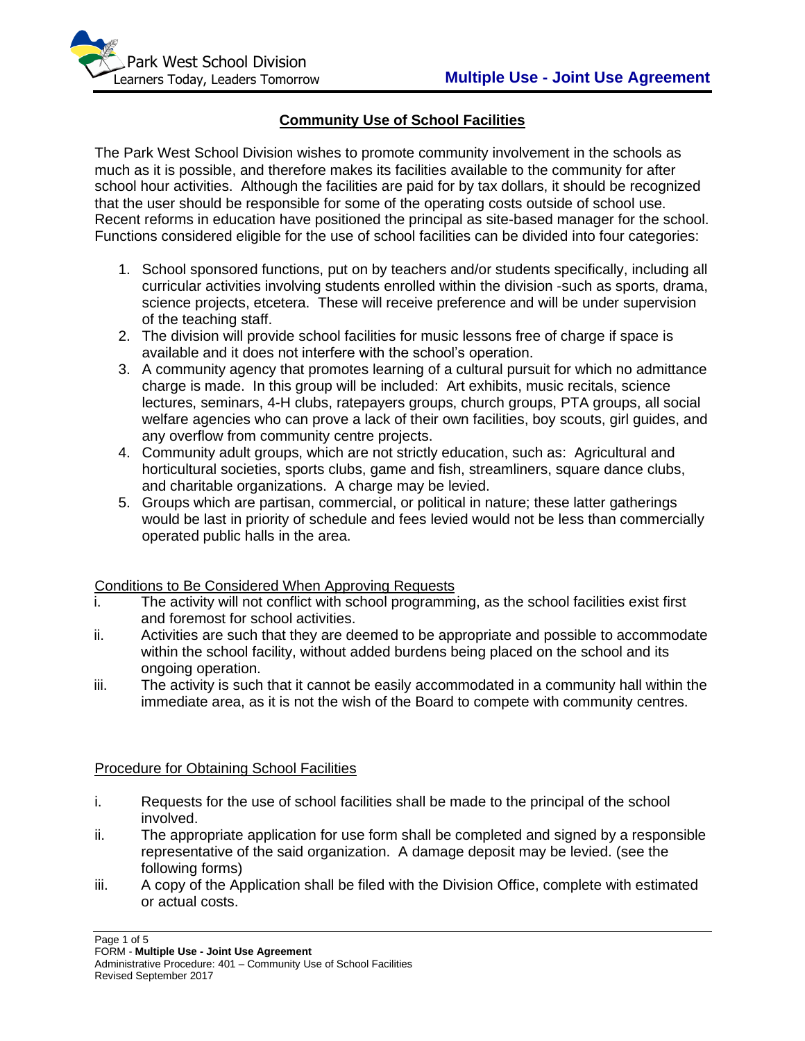

# **Community Use of School Facilities**

The Park West School Division wishes to promote community involvement in the schools as much as it is possible, and therefore makes its facilities available to the community for after school hour activities. Although the facilities are paid for by tax dollars, it should be recognized that the user should be responsible for some of the operating costs outside of school use. Recent reforms in education have positioned the principal as site-based manager for the school. Functions considered eligible for the use of school facilities can be divided into four categories:

- 1. School sponsored functions, put on by teachers and/or students specifically, including all curricular activities involving students enrolled within the division -such as sports, drama, science projects, etcetera. These will receive preference and will be under supervision of the teaching staff.
- 2. The division will provide school facilities for music lessons free of charge if space is available and it does not interfere with the school's operation.
- 3. A community agency that promotes learning of a cultural pursuit for which no admittance charge is made. In this group will be included: Art exhibits, music recitals, science lectures, seminars, 4-H clubs, ratepayers groups, church groups, PTA groups, all social welfare agencies who can prove a lack of their own facilities, boy scouts, girl guides, and any overflow from community centre projects.
- 4. Community adult groups, which are not strictly education, such as: Agricultural and horticultural societies, sports clubs, game and fish, streamliners, square dance clubs, and charitable organizations. A charge may be levied.
- 5. Groups which are partisan, commercial, or political in nature; these latter gatherings would be last in priority of schedule and fees levied would not be less than commercially operated public halls in the area.

## Conditions to Be Considered When Approving Requests

- i. The activity will not conflict with school programming, as the school facilities exist first and foremost for school activities.
- ii. Activities are such that they are deemed to be appropriate and possible to accommodate within the school facility, without added burdens being placed on the school and its ongoing operation.
- iii. The activity is such that it cannot be easily accommodated in a community hall within the immediate area, as it is not the wish of the Board to compete with community centres.

## Procedure for Obtaining School Facilities

- i. Requests for the use of school facilities shall be made to the principal of the school involved.
- ii. The appropriate application for use form shall be completed and signed by a responsible representative of the said organization. A damage deposit may be levied. (see the following forms)
- iii. A copy of the Application shall be filed with the Division Office, complete with estimated or actual costs.

Page 1 of 5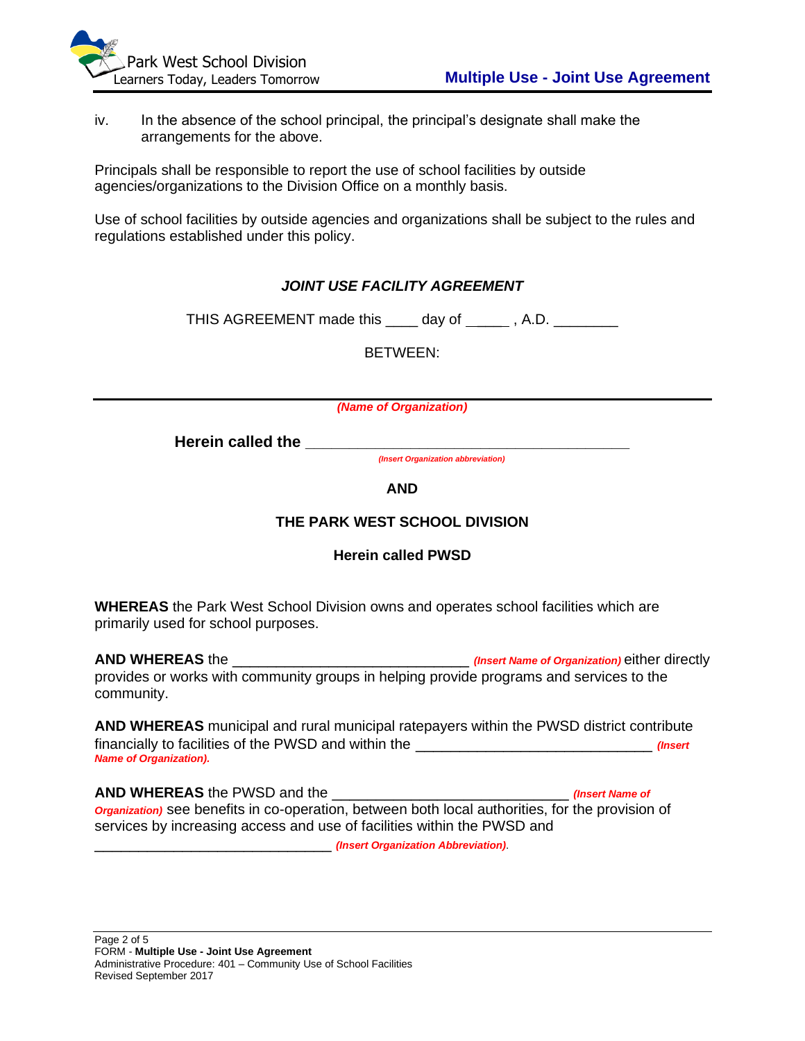iv. In the absence of the school principal, the principal's designate shall make the arrangements for the above.

Principals shall be responsible to report the use of school facilities by outside agencies/organizations to the Division Office on a monthly basis.

Use of school facilities by outside agencies and organizations shall be subject to the rules and regulations established under this policy.

# *JOINT USE FACILITY AGREEMENT*

THIS AGREEMENT made this \_\_\_\_ day of \_\_\_\_\_, A.D. \_\_\_\_\_\_\_

BETWEEN:

*(Name of Organization)*

Herein called the

*(Insert Organization abbreviation)*

**AND**

## **THE PARK WEST SCHOOL DIVISION**

## **Herein called PWSD**

**WHEREAS** the Park West School Division owns and operates school facilities which are primarily used for school purposes.

**AND WHEREAS** the \_\_\_\_\_\_\_\_\_\_\_\_\_\_\_\_\_\_\_\_\_\_\_\_\_\_\_ *(Insert Name of Organization)* either directly provides or works with community groups in helping provide programs and services to the community.

**AND WHEREAS** municipal and rural municipal ratepayers within the PWSD district contribute financially to facilities of the PWSD and within the \_\_\_\_\_\_\_\_\_\_\_\_\_\_\_\_\_\_\_\_\_\_\_\_\_\_\_ *(Insert Name of Organization).*

**AND WHEREAS** the PWSD and the \_\_\_\_\_\_\_\_\_\_\_\_\_\_\_\_\_\_\_\_\_\_\_\_\_\_\_ *(Insert Name of Organization)* see benefits in co-operation, between both local authorities, for the provision of services by increasing access and use of facilities within the PWSD and

\_\_\_\_\_\_\_\_\_\_\_\_\_\_\_\_\_\_\_\_\_\_\_\_\_\_\_ *(Insert Organization Abbreviation)*.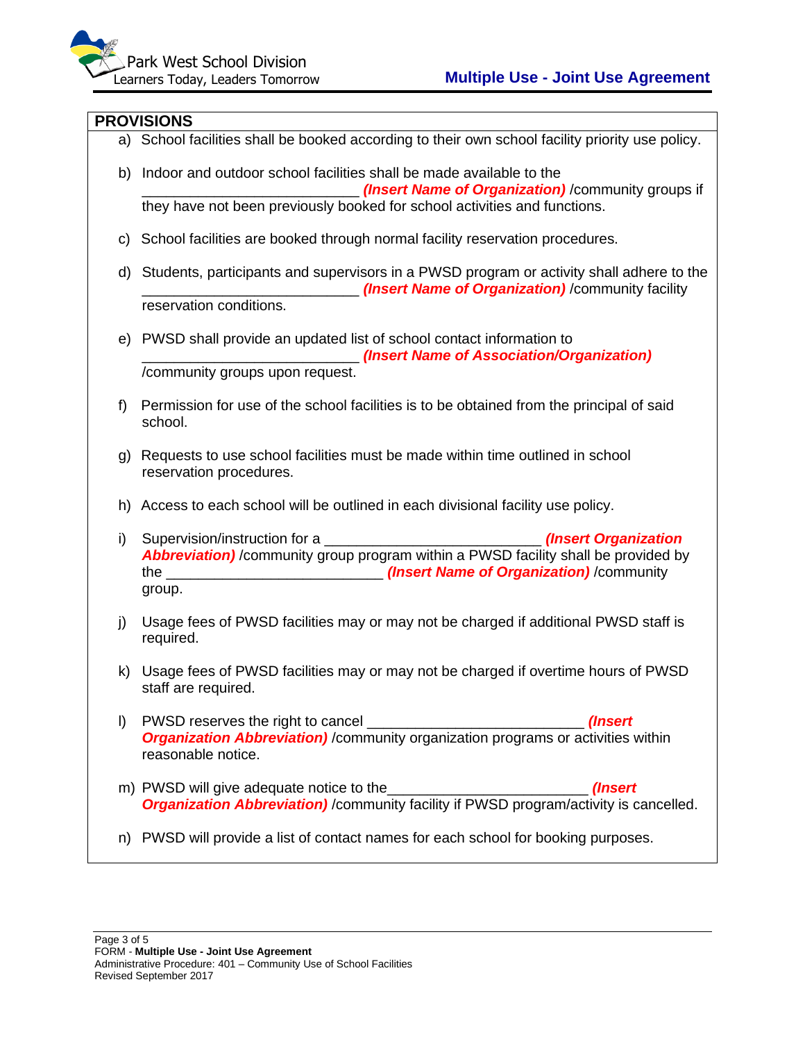#### **PROVISIONS**

a) School facilities shall be booked according to their own school facility priority use policy. b) Indoor and outdoor school facilities shall be made available to the \_\_\_\_\_\_\_\_\_\_\_\_\_\_\_\_\_\_\_\_\_\_\_\_\_\_\_ *(Insert Name of Organization)* /community groups if they have not been previously booked for school activities and functions. c) School facilities are booked through normal facility reservation procedures. d) Students, participants and supervisors in a PWSD program or activity shall adhere to the \_\_\_\_\_\_\_\_\_\_\_\_\_\_\_\_\_\_\_\_\_\_\_\_\_\_\_ *(Insert Name of Organization)* /community facility reservation conditions. e) PWSD shall provide an updated list of school contact information to \_\_\_\_\_\_\_\_\_\_\_\_\_\_\_\_\_\_\_\_\_\_\_\_\_\_\_ *(Insert Name of Association/Organization)*  /community groups upon request. f) Permission for use of the school facilities is to be obtained from the principal of said school. g) Requests to use school facilities must be made within time outlined in school reservation procedures. h) Access to each school will be outlined in each divisional facility use policy. i) Supervision/instruction for a \_\_\_\_\_\_\_\_\_\_\_\_\_\_\_\_\_\_\_\_\_\_\_\_\_\_\_ *(Insert Organization Abbreviation)* /community group program within a PWSD facility shall be provided by the **the community** *(Insert Name of Organization)* **/community** group. j) Usage fees of PWSD facilities may or may not be charged if additional PWSD staff is required. k) Usage fees of PWSD facilities may or may not be charged if overtime hours of PWSD staff are required. l) PWSD reserves the right to cancel \_\_\_\_\_\_\_\_\_\_\_\_\_\_\_\_\_\_\_\_\_\_\_\_\_\_\_ *(Insert Organization Abbreviation)* / community organization programs or activities within reasonable notice. m) PWSD will give adequate notice to the **example 2** (*Insert (Insert ) Organization Abbreviation)* /community facility if PWSD program/activity is cancelled. n) PWSD will provide a list of contact names for each school for booking purposes.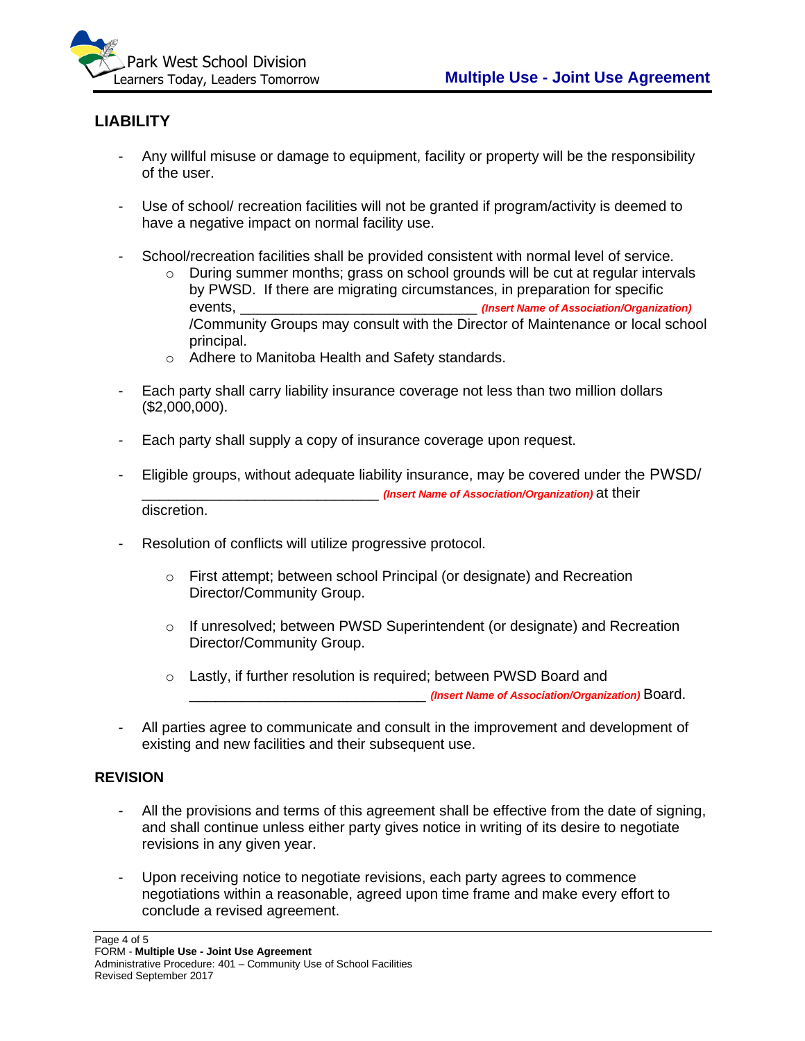

# **LIABILITY**

- Any willful misuse or damage to equipment, facility or property will be the responsibility of the user.
- Use of school/ recreation facilities will not be granted if program/activity is deemed to have a negative impact on normal facility use.
- School/recreation facilities shall be provided consistent with normal level of service.
	- $\circ$  During summer months; grass on school grounds will be cut at regular intervals by PWSD. If there are migrating circumstances, in preparation for specific events, \_\_\_\_\_\_\_\_\_\_\_\_\_\_\_\_\_\_\_\_\_\_\_\_\_\_\_ *(Insert Name of Association/Organization)*  /Community Groups may consult with the Director of Maintenance or local school principal.
	- o Adhere to Manitoba Health and Safety standards.
- Each party shall carry liability insurance coverage not less than two million dollars (\$2,000,000).
- Each party shall supply a copy of insurance coverage upon request.
- Eligible groups, without adequate liability insurance, may be covered under the PWSD/ \_\_\_\_\_\_\_\_\_\_\_\_\_\_\_\_\_\_\_\_\_\_\_\_\_\_\_ *(Insert Name of Association/Organization)* at their discretion.
- Resolution of conflicts will utilize progressive protocol.
	- o First attempt; between school Principal (or designate) and Recreation Director/Community Group.
	- $\circ$  If unresolved; between PWSD Superintendent (or designate) and Recreation Director/Community Group.
	- o Lastly, if further resolution is required; between PWSD Board and \_\_\_\_\_\_\_\_\_\_\_\_\_\_\_\_\_\_\_\_\_\_\_\_\_\_\_ *(Insert Name of Association/Organization)* Board.
- All parties agree to communicate and consult in the improvement and development of existing and new facilities and their subsequent use.

## **REVISION**

- All the provisions and terms of this agreement shall be effective from the date of signing, and shall continue unless either party gives notice in writing of its desire to negotiate revisions in any given year.
- Upon receiving notice to negotiate revisions, each party agrees to commence negotiations within a reasonable, agreed upon time frame and make every effort to conclude a revised agreement.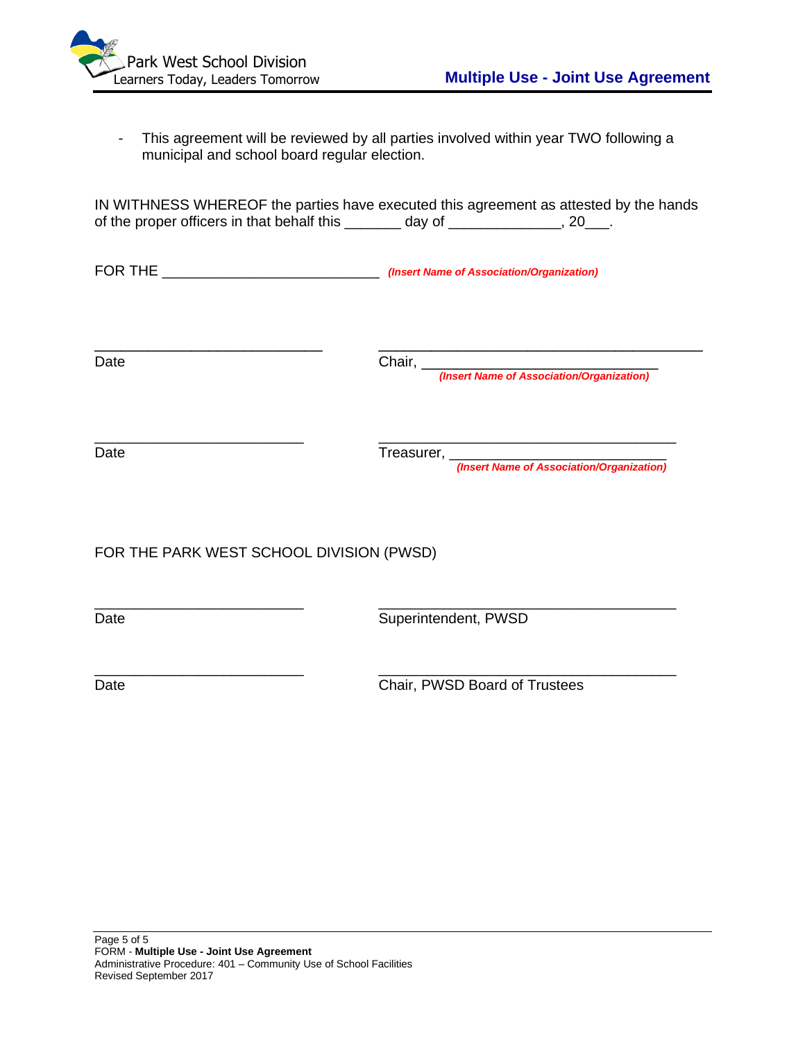

- This agreement will be reviewed by all parties involved within year TWO following a municipal and school board regular election.

| IN WITHNESS WHEREOF the parties have executed this agreement as attested by the hands |        |           |
|---------------------------------------------------------------------------------------|--------|-----------|
| of the proper officers in that behalf this                                            | day of | $\sim 20$ |

FOR THE \_\_\_\_\_\_\_\_\_\_\_\_\_\_\_\_\_\_\_\_\_\_\_\_\_\_\_ *(Insert Name of Association/Organization)*

\_\_\_\_\_\_\_\_\_\_\_\_\_\_\_\_\_\_\_\_\_\_\_\_\_\_ \_\_\_\_\_\_\_\_\_\_\_\_\_\_\_\_\_\_\_\_\_\_\_\_\_\_\_\_\_\_\_\_\_\_\_\_\_ Date Chair, Late Chair, Late Chair, Late Chair, Late Chair, Late Chair, Late Chair, Late Chair, Late Chair, La

\_\_\_\_\_\_\_\_\_\_\_\_\_\_\_\_\_\_\_\_\_\_\_\_\_\_ \_\_\_\_\_\_\_\_\_\_\_\_\_\_\_\_\_\_\_\_\_\_\_\_\_\_\_\_\_\_\_\_\_\_\_\_\_

*(Insert Name of Association/Organization)*

Date Treasurer,

*(Insert Name of Association/Organization)*

FOR THE PARK WEST SCHOOL DIVISION (PWSD)

\_\_\_\_\_\_\_\_\_\_\_\_\_\_\_\_\_\_\_\_\_\_\_\_\_\_ \_\_\_\_\_\_\_\_\_\_\_\_\_\_\_\_\_\_\_\_\_\_\_\_\_\_\_\_\_\_\_\_\_\_\_\_\_ Date **Superintendent, PWSD** 

\_\_\_\_\_\_\_\_\_\_\_\_\_\_\_\_\_\_\_\_\_\_\_\_\_\_ \_\_\_\_\_\_\_\_\_\_\_\_\_\_\_\_\_\_\_\_\_\_\_\_\_\_\_\_\_\_\_\_\_\_\_\_\_ Date Chair, PWSD Board of Trustees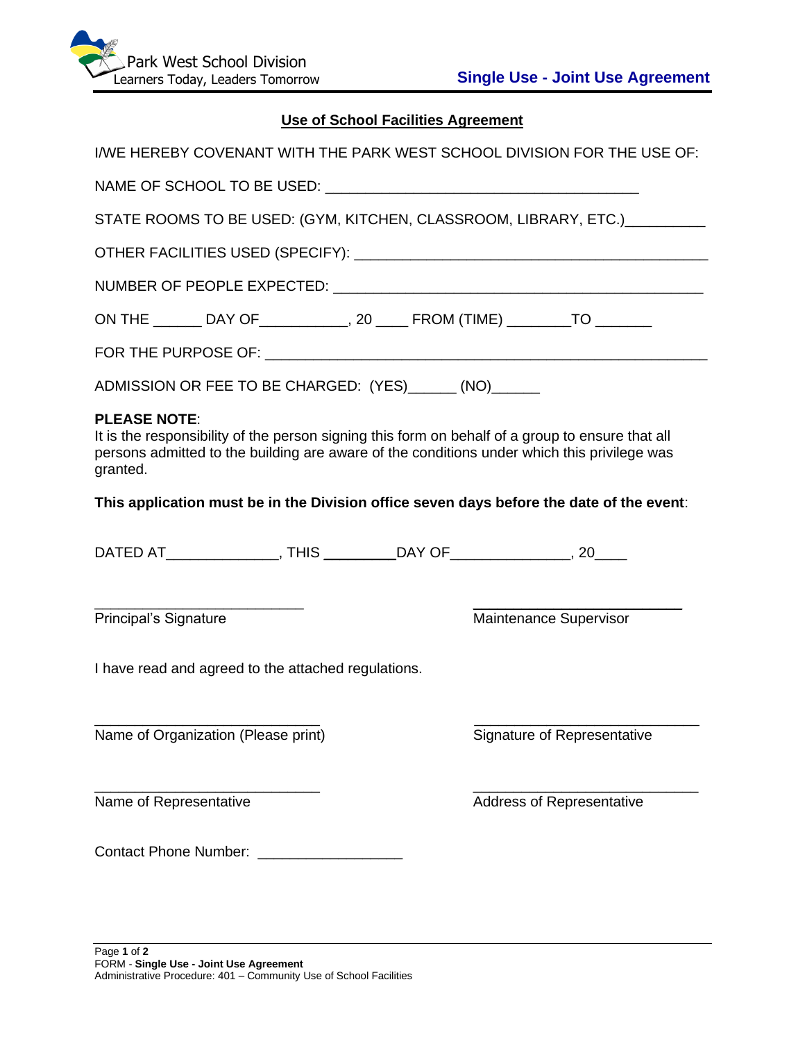

# **Use of School Facilities Agreement**

| I/WE HEREBY COVENANT WITH THE PARK WEST SCHOOL DIVISION FOR THE USE OF:                                                                                                                                                            |                             |
|------------------------------------------------------------------------------------------------------------------------------------------------------------------------------------------------------------------------------------|-----------------------------|
|                                                                                                                                                                                                                                    |                             |
| STATE ROOMS TO BE USED: (GYM, KITCHEN, CLASSROOM, LIBRARY, ETC.) _________                                                                                                                                                         |                             |
|                                                                                                                                                                                                                                    |                             |
|                                                                                                                                                                                                                                    |                             |
| ON THE ________ DAY OF ______________, 20 _____ FROM (TIME) __________ TO _______                                                                                                                                                  |                             |
|                                                                                                                                                                                                                                    |                             |
| ADMISSION OR FEE TO BE CHARGED: (YES) ______ (NO) ______                                                                                                                                                                           |                             |
| <b>PLEASE NOTE:</b><br>It is the responsibility of the person signing this form on behalf of a group to ensure that all<br>persons admitted to the building are aware of the conditions under which this privilege was<br>granted. |                             |
| This application must be in the Division office seven days before the date of the event:                                                                                                                                           |                             |
|                                                                                                                                                                                                                                    |                             |
| DATED AT_________________, THIS ___________DAY OF_________________, 20_____                                                                                                                                                        |                             |
| Principal's Signature                                                                                                                                                                                                              | Maintenance Supervisor      |
| I have read and agreed to the attached regulations.                                                                                                                                                                                |                             |
| Name of Organization (Please print)                                                                                                                                                                                                | Signature of Representative |
| Name of Representative                                                                                                                                                                                                             | Address of Representative   |